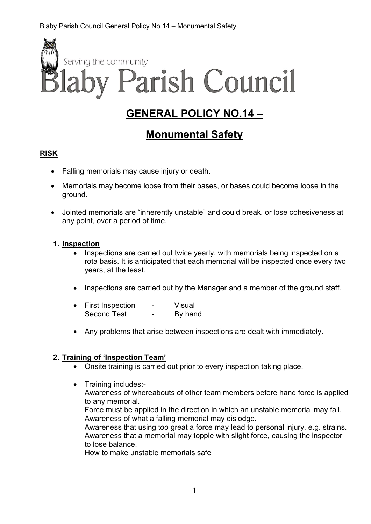

# **GENERAL POLICY NO.14 –**

# **Monumental Safety**

### **RISK**

- Falling memorials may cause injury or death.
- Memorials may become loose from their bases, or bases could become loose in the ground.
- Jointed memorials are "inherently unstable" and could break, or lose cohesiveness at any point, over a period of time.

#### **1. Inspection**

- Inspections are carried out twice yearly, with memorials being inspected on a rota basis. It is anticipated that each memorial will be inspected once every two years, at the least.
- Inspections are carried out by the Manager and a member of the ground staff.

| <b>First Inspection</b> | - | Visual  |
|-------------------------|---|---------|
| <b>Second Test</b>      |   | By hand |

• Any problems that arise between inspections are dealt with immediately.

### **2. Training of 'Inspection Team'**

- Onsite training is carried out prior to every inspection taking place.
- Training includes:- Awareness of whereabouts of other team members before hand force is applied to any memorial. Force must be applied in the direction in which an unstable memorial may fall. Awareness of what a falling memorial may dislodge. Awareness that using too great a force may lead to personal injury, e.g. strains. Awareness that a memorial may topple with slight force, causing the inspector to lose balance. How to make unstable memorials safe